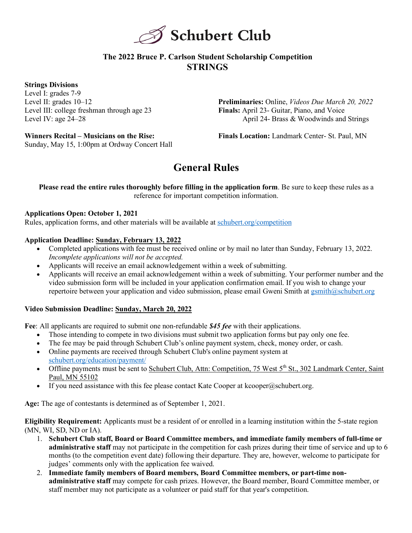

## **The 2022 Bruce P. Carlson Student Scholarship Competition STRINGS**

## **Strings Divisions**

Level I: grades 7-9 Level II: grades 10–12 Level III: college freshman through age 23 Level IV: age 24–28

**Preliminaries:** Online, *Videos Due March 20, 2022* **Finals:** April 23- Guitar, Piano, and Voice April 24- Brass & Woodwinds and Strings

**Winners Recital – Musicians on the Rise:** Sunday, May 15, 1:00pm at Ordway Concert Hall **Finals Location:** Landmark Center- St. Paul, MN

# **General Rules**

**Please read the entire rules thoroughly before filling in the application form**. Be sure to keep these rules as a reference for important competition information.

## **Applications Open: October 1, 2021**

Rules, application forms, and other materials will be available at schubert.org/competition

#### **Application Deadline: Sunday, February 13, 2022**

- Completed applications with fee must be received online or by mail no later than Sunday, February 13, 2022. *Incomplete applications will not be accepted.*
- Applicants will receive an email acknowledgement within a week of submitting.
- Applicants will receive an email acknowledgement within a week of submitting. Your performer number and the video submission form will be included in your application confirmation email. If you wish to change your repertoire between your application and video submission, please email Gweni Smith at gsmith@schubert.org

## **Video Submission Deadline: Sunday, March 20, 2022**

**Fee**: All applicants are required to submit one non-refundable *\$45 fee* with their applications.

- Those intending to compete in two divisions must submit two application forms but pay only one fee.
- The fee may be paid through Schubert Club's online payment system, check, money order, or cash.
- Online payments are received through Schubert Club's online payment system at schubert.org/education/payment/
- Offline payments must be sent to Schubert Club, Attn: Competition, 75 West 5<sup>th</sup> St., 302 Landmark Center, Saint Paul, MN 55102
- If you need assistance with this fee please contact Kate Cooper at kcooper  $\alpha$  schubert.org.

**Age:** The age of contestants is determined as of September 1, 2021.

**Eligibility Requirement:** Applicants must be a resident of or enrolled in a learning institution within the 5-state region (MN, WI, SD, ND or IA).

- 1. **Schubert Club staff, Board or Board Committee members, and immediate family members of full-time or administrative staff** may not participate in the competition for cash prizes during their time of service and up to 6 months (to the competition event date) following their departure. They are, however, welcome to participate for judges' comments only with the application fee waived.
- 2. **Immediate family members of Board members, Board Committee members, or part-time nonadministrative staff** may compete for cash prizes. However, the Board member, Board Committee member, or staff member may not participate as a volunteer or paid staff for that year's competition.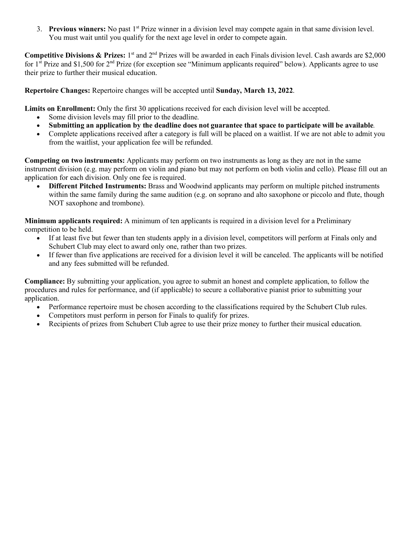3. **Previous winners:** No past 1<sup>st</sup> Prize winner in a division level may compete again in that same division level. You must wait until you qualify for the next age level in order to compete again.

**Competitive Divisions & Prizes:** 1<sup>st</sup> and  $2^{nd}$  Prizes will be awarded in each Finals division level. Cash awards are \$2,000 for  $1^{\text{st}}$  Prize and \$1,500 for  $2^{\text{nd}}$  Prize (for exception see "Minimum applicants required" below). Applicants agree to use their prize to further their musical education.

**Repertoire Changes:** Repertoire changes will be accepted until **Sunday, March 13, 2022**.

**Limits on Enrollment:** Only the first 30 applications received for each division level will be accepted.

- Some division levels may fill prior to the deadline.
- **Submitting an application by the deadline does not guarantee that space to participate will be available***.*
- Complete applications received after a category is full will be placed on a waitlist. If we are not able to admit you from the waitlist, your application fee will be refunded.

**Competing on two instruments:** Applicants may perform on two instruments as long as they are not in the same instrument division (e.g. may perform on violin and piano but may not perform on both violin and cello). Please fill out an application for each division. Only one fee is required.

• **Different Pitched Instruments:** Brass and Woodwind applicants may perform on multiple pitched instruments within the same family during the same audition (e.g. on soprano and alto saxophone or piccolo and flute, though NOT saxophone and trombone).

**Minimum applicants required:** A minimum of ten applicants is required in a division level for a Preliminary competition to be held.

- If at least five but fewer than ten students apply in a division level, competitors will perform at Finals only and Schubert Club may elect to award only one, rather than two prizes.
- If fewer than five applications are received for a division level it will be canceled. The applicants will be notified and any fees submitted will be refunded.

**Compliance:** By submitting your application, you agree to submit an honest and complete application, to follow the procedures and rules for performance, and (if applicable) to secure a collaborative pianist prior to submitting your application.

- Performance repertoire must be chosen according to the classifications required by the Schubert Club rules.
- Competitors must perform in person for Finals to qualify for prizes.
- Recipients of prizes from Schubert Club agree to use their prize money to further their musical education.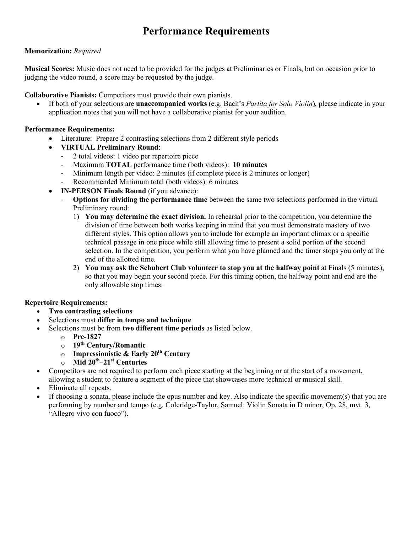# **Performance Requirements**

## **Memorization:** *Required*

**Musical Scores:** Music does not need to be provided for the judges at Preliminaries or Finals, but on occasion prior to judging the video round, a score may be requested by the judge.

**Collaborative Pianists:** Competitors must provide their own pianists.

• If both of your selections are **unaccompanied works** (e.g. Bach's *Partita for Solo Violin*), please indicate in your application notes that you will not have a collaborative pianist for your audition.

## **Performance Requirements:**

- Literature: Prepare 2 contrasting selections from 2 different style periods
- **VIRTUAL Preliminary Round**:
	- 2 total videos: 1 video per repertoire piece
	- Maximum **TOTAL** performance time (both videos): **10 minutes**
	- Minimum length per video: 2 minutes (if complete piece is 2 minutes or longer)
	- Recommended Minimum total (both videos): 6 minutes
- **IN-PERSON Finals Round** (if you advance):
	- **Options for dividing the performance time** between the same two selections performed in the virtual Preliminary round:
		- 1) **You may determine the exact division.** In rehearsal prior to the competition, you determine the division of time between both works keeping in mind that you must demonstrate mastery of two different styles. This option allows you to include for example an important climax or a specific technical passage in one piece while still allowing time to present a solid portion of the second selection. In the competition, you perform what you have planned and the timer stops you only at the end of the allotted time.
		- 2) **You may ask the Schubert Club volunteer to stop you at the halfway point** at Finals (5 minutes), so that you may begin your second piece. For this timing option, the halfway point and end are the only allowable stop times.

## **Repertoire Requirements:**

- **Two contrasting selections**
- Selections must **differ in tempo and technique**
- Selections must be from **two different time periods** as listed below.
	- o **Pre-1827**
	- o **19th Century/Romantic**
	- o **Impressionistic & Early 20th Century**
	- o **Mid 20th–21st Centuries**
- Competitors are not required to perform each piece starting at the beginning or at the start of a movement, allowing a student to feature a segment of the piece that showcases more technical or musical skill.
- Eliminate all repeats.
- If choosing a sonata, please include the opus number and key. Also indicate the specific movement(s) that you are performing by number and tempo (e.g. Coleridge-Taylor, Samuel: Violin Sonata in D minor, Op. 28, mvt. 3, "Allegro vivo con fuoco").